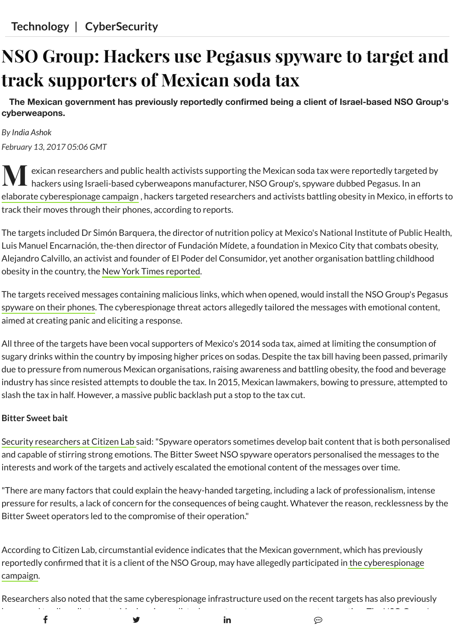## **NSO Group: Hackers use Pegasus spyware to target and track supporters of Mexican soda tax**

**The Mexican government has previously reportedly confirmed being a client of Israel-based NSO Group's cyberweapons.**

## *By India [Ashok](https://www.ibtimes.co.uk/reporters/india-ashok) February 13, 2017 05:06 GMT*

**M** exican researchers and public health activists supporting the Mexican soda tax were reportedly targeted by<br>hackers using Israeli-based cyberweapons manufacturer, NSO Group's, spyware dubbed Pegasus. In an hackers using Israeli-based cyberweapons manufacturer, NSO Group's, spyware dubbed Pegasus. In an elaborate [cyberespionage](https://www.ibtimes.co.uk/state-sponsored-hackers-suspected-targeting-kazakh-lawyers-dissidents-1573967) campaign , hackers targeted researchers and activists battling obesity in Mexico, in efforts to track their moves through their phones, according to reports.

The targets included Dr Simón Barquera, the director of nutrition policy at Mexico's National Institute of Public Health, Luis Manuel Encarnación, the-then director of Fundación Mídete, a foundation in Mexico City that combats obesity, Alejandro Calvillo, an activist and founder of El Poder del Consumidor, yet another organisation battling childhood obesity in the country, the New York Times [reported.](https://www.nytimes.com/2017/02/11/technology/hack-mexico-soda-tax-advocates.html?_r=1)

The targets received messages containing malicious links, which when opened, would install the NSO Group's Pegasus [spyware](https://www.ibtimes.co.uk/four-malicious-spyware-infected-apps-stealing-significant-amount-user-data-found-google-play-1581788) on their phones. The cyberespionage threat actors allegedly tailored the messages with emotional content, aimed at creating panic and eliciting a response.

All three of the targets have been vocal supporters of Mexico's 2014 soda tax, aimed at limiting the consumption of sugary drinks within the country by imposing higher prices on sodas. Despite the tax bill having been passed, primarily due to pressure from numerous Mexican organisations, raising awareness and battling obesity, the food and beverage industry has since resisted attempts to double the tax. In 2015, Mexican lawmakers, bowing to pressure, attempted to slash the tax in half. However, a massive public backlash put a stop to the tax cut.

## **Bitter Sweet bait**

Security [researchers](https://citizenlab.org/2017/02/bittersweet-nso-mexico-spyware/) at Citizen Lab said:"Spyware operators sometimes develop bait content that is both personalised and capable of stirring strong emotions. The Bitter Sweet NSO spyware operators personalised the messages to the interests and work of the targets and actively escalated the emotional content of the messages over time.

"There are many factors that could explain the heavy-handed targeting, including a lack of professionalism, intense pressure for results, a lack of concern for the consequences of being caught. Whatever the reason, recklessness by the Bitter Sweet operators led to the compromise of their operation."

According to Citizen Lab, circumstantial evidence indicates that the Mexican government, which has previously reportedly confirmed that it is a client of the NSO Group, may have allegedly participated in the [cyberespionage](https://www.ibtimes.co.uk/cyberespionage-group-stealth-falcon-targeting-uae-dissidents-spyware-1563092) campaign.

Researchers also noted that the same cyberespionage infrastructure used on the recent targets has also previously